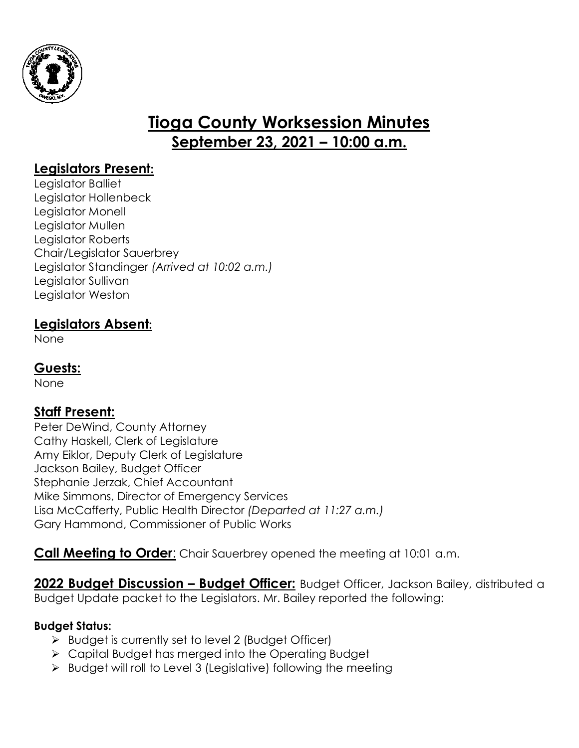

# **Tioga County Worksession Minutes September 23, 2021 – 10:00 a.m.**

# **Legislators Present:**

Legislator Balliet Legislator Hollenbeck Legislator Monell Legislator Mullen Legislator Roberts Chair/Legislator Sauerbrey Legislator Standinger *(Arrived at 10:02 a.m.)* Legislator Sullivan Legislator Weston

# **Legislators Absent:**

None

## **Guests:**

None

## **Staff Present:**

Peter DeWind, County Attorney Cathy Haskell, Clerk of Legislature Amy Eiklor, Deputy Clerk of Legislature Jackson Bailey, Budget Officer Stephanie Jerzak, Chief Accountant Mike Simmons, Director of Emergency Services Lisa McCafferty, Public Health Director *(Departed at 11:27 a.m.)* Gary Hammond, Commissioner of Public Works

**Call Meeting to Order**: Chair Sauerbrey opened the meeting at 10:01 a.m.

**2022 Budget Discussion – Budget Officer:** Budget Officer, Jackson Bailey, distributed a Budget Update packet to the Legislators. Mr. Bailey reported the following:

## **Budget Status:**

- $\triangleright$  Budget is currently set to level 2 (Budget Officer)
- Capital Budget has merged into the Operating Budget
- $\triangleright$  Budget will roll to Level 3 (Legislative) following the meeting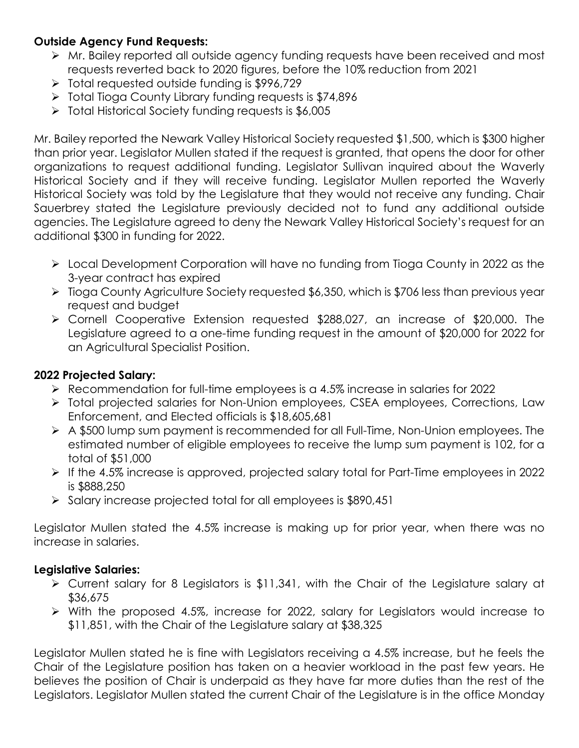## **Outside Agency Fund Requests:**

- Mr. Bailey reported all outside agency funding requests have been received and most requests reverted back to 2020 figures, before the 10% reduction from 2021
- $\geq$  Total requested outside funding is \$996,729
- $\triangleright$  Total Tioga County Library funding requests is \$74,896
- Total Historical Society funding requests is \$6,005

Mr. Bailey reported the Newark Valley Historical Society requested \$1,500, which is \$300 higher than prior year. Legislator Mullen stated if the request is granted, that opens the door for other organizations to request additional funding. Legislator Sullivan inquired about the Waverly Historical Society and if they will receive funding. Legislator Mullen reported the Waverly Historical Society was told by the Legislature that they would not receive any funding. Chair Sauerbrey stated the Legislature previously decided not to fund any additional outside agencies. The Legislature agreed to deny the Newark Valley Historical Society's request for an additional \$300 in funding for 2022.

- Local Development Corporation will have no funding from Tioga County in 2022 as the 3-year contract has expired
- Tioga County Agriculture Society requested \$6,350, which is \$706 less than previous year request and budget
- Cornell Cooperative Extension requested \$288,027, an increase of \$20,000. The Legislature agreed to a one-time funding request in the amount of \$20,000 for 2022 for an Agricultural Specialist Position.

## **2022 Projected Salary:**

- Recommendation for full-time employees is a 4.5% increase in salaries for 2022
- Total projected salaries for Non-Union employees, CSEA employees, Corrections, Law Enforcement, and Elected officials is \$18,605,681
- A \$500 lump sum payment is recommended for all Full-Time, Non-Union employees. The estimated number of eligible employees to receive the lump sum payment is 102, for a total of \$51,000
- If the 4.5% increase is approved, projected salary total for Part-Time employees in 2022 is \$888,250
- $\triangleright$  Salary increase projected total for all employees is \$890,451

Legislator Mullen stated the 4.5% increase is making up for prior year, when there was no increase in salaries.

## **Legislative Salaries:**

- Current salary for 8 Legislators is \$11,341, with the Chair of the Legislature salary at \$36,675
- With the proposed 4.5%, increase for 2022, salary for Legislators would increase to \$11,851, with the Chair of the Legislature salary at \$38,325

Legislator Mullen stated he is fine with Legislators receiving a 4.5% increase, but he feels the Chair of the Legislature position has taken on a heavier workload in the past few years. He believes the position of Chair is underpaid as they have far more duties than the rest of the Legislators. Legislator Mullen stated the current Chair of the Legislature is in the office Monday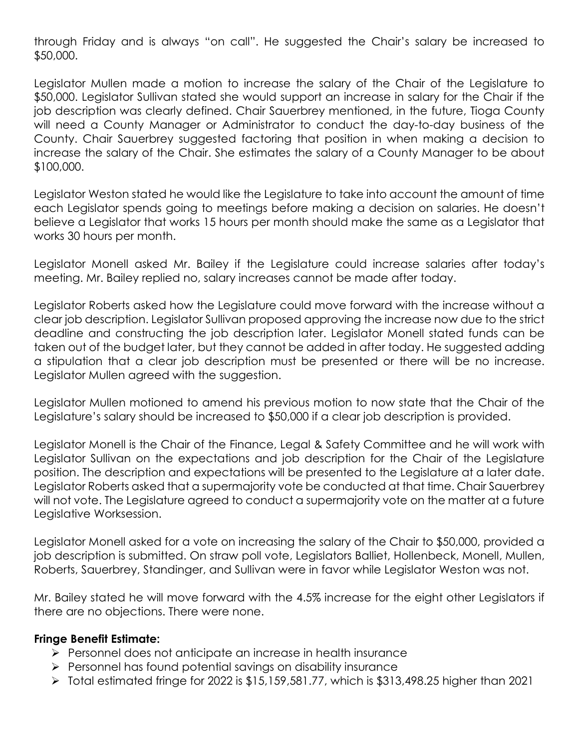through Friday and is always "on call". He suggested the Chair's salary be increased to \$50,000.

Legislator Mullen made a motion to increase the salary of the Chair of the Legislature to \$50,000. Legislator Sullivan stated she would support an increase in salary for the Chair if the job description was clearly defined. Chair Sauerbrey mentioned, in the future, Tioga County will need a County Manager or Administrator to conduct the day-to-day business of the County. Chair Sauerbrey suggested factoring that position in when making a decision to increase the salary of the Chair. She estimates the salary of a County Manager to be about \$100,000.

Legislator Weston stated he would like the Legislature to take into account the amount of time each Legislator spends going to meetings before making a decision on salaries. He doesn't believe a Legislator that works 15 hours per month should make the same as a Legislator that works 30 hours per month.

Legislator Monell asked Mr. Bailey if the Legislature could increase salaries after today's meeting. Mr. Bailey replied no, salary increases cannot be made after today.

Legislator Roberts asked how the Legislature could move forward with the increase without a clear job description. Legislator Sullivan proposed approving the increase now due to the strict deadline and constructing the job description later. Legislator Monell stated funds can be taken out of the budget later, but they cannot be added in after today. He suggested adding a stipulation that a clear job description must be presented or there will be no increase. Legislator Mullen agreed with the suggestion.

Legislator Mullen motioned to amend his previous motion to now state that the Chair of the Legislature's salary should be increased to \$50,000 if a clear job description is provided.

Legislator Monell is the Chair of the Finance, Legal & Safety Committee and he will work with Legislator Sullivan on the expectations and job description for the Chair of the Legislature position. The description and expectations will be presented to the Legislature at a later date. Legislator Roberts asked that a supermajority vote be conducted at that time. Chair Sauerbrey will not vote. The Legislature agreed to conduct a supermajority vote on the matter at a future Legislative Worksession.

Legislator Monell asked for a vote on increasing the salary of the Chair to \$50,000, provided a job description is submitted. On straw poll vote, Legislators Balliet, Hollenbeck, Monell, Mullen, Roberts, Sauerbrey, Standinger, and Sullivan were in favor while Legislator Weston was not.

Mr. Bailey stated he will move forward with the 4.5% increase for the eight other Legislators if there are no objections. There were none.

#### **Fringe Benefit Estimate:**

- **Personnel does not anticipate an increase in health insurance**
- $\triangleright$  Personnel has found potential savings on disability insurance
- $\triangleright$  Total estimated fringe for 2022 is \$15,159,581.77, which is \$313,498.25 higher than 2021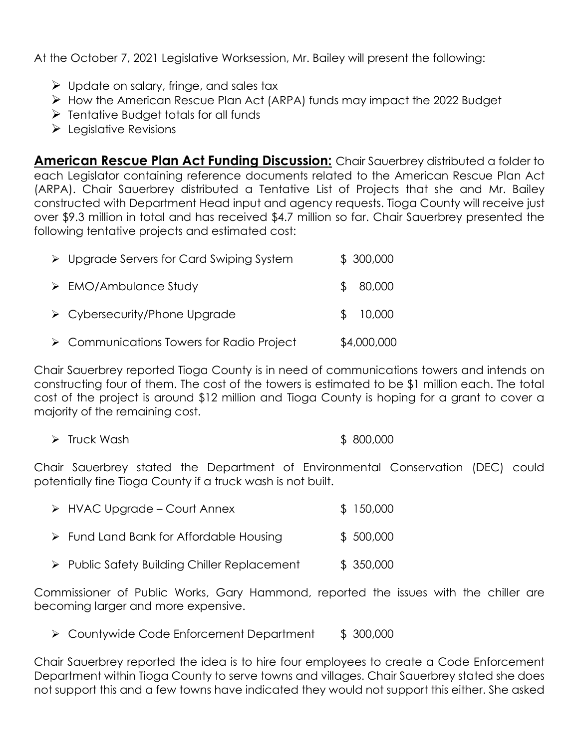At the October 7, 2021 Legislative Worksession, Mr. Bailey will present the following:

- $\triangleright$  Update on salary, fringe, and sales tax
- $\triangleright$  How the American Rescue Plan Act (ARPA) funds may impact the 2022 Budget
- $\triangleright$  Tentative Budget totals for all funds
- $\blacktriangleright$  Legislative Revisions

**American Rescue Plan Act Funding Discussion:** Chair Sauerbrey distributed a folder to each Legislator containing reference documents related to the American Rescue Plan Act (ARPA). Chair Sauerbrey distributed a Tentative List of Projects that she and Mr. Bailey constructed with Department Head input and agency requests. Tioga County will receive just over \$9.3 million in total and has received \$4.7 million so far. Chair Sauerbrey presented the following tentative projects and estimated cost:

| $\triangleright$ Upgrade Servers for Card Swiping System | \$300,000   |
|----------------------------------------------------------|-------------|
| $\triangleright$ EMO/Ambulance Study                     | 80,000      |
| $\triangleright$ Cybersecurity/Phone Upgrade             | 10,000      |
| $\triangleright$ Communications Towers for Radio Project | \$4,000,000 |

Chair Sauerbrey reported Tioga County is in need of communications towers and intends on constructing four of them. The cost of the towers is estimated to be \$1 million each. The total cost of the project is around \$12 million and Tioga County is hoping for a grant to cover a majority of the remaining cost.

|  | $\triangleright$ Truck Wash | \$800,000 |  |
|--|-----------------------------|-----------|--|
|--|-----------------------------|-----------|--|

Chair Sauerbrey stated the Department of Environmental Conservation (DEC) could potentially fine Tioga County if a truck wash is not built.

| $\triangleright$ HVAC Upgrade – Court Annex            | \$150,000 |
|--------------------------------------------------------|-----------|
| $\triangleright$ Fund Land Bank for Affordable Housing | \$500,000 |

> Public Safety Building Chiller Replacement \$ 350,000

Commissioner of Public Works, Gary Hammond, reported the issues with the chiller are becoming larger and more expensive.

▶ Countywide Code Enforcement Department \$ 300,000

Chair Sauerbrey reported the idea is to hire four employees to create a Code Enforcement Department within Tioga County to serve towns and villages. Chair Sauerbrey stated she does not support this and a few towns have indicated they would not support this either. She asked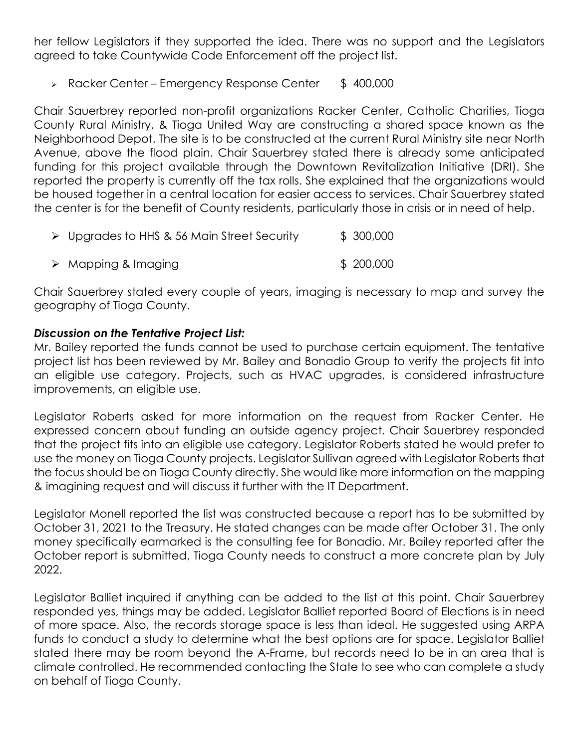her fellow Legislators if they supported the idea. There was no support and the Legislators agreed to take Countywide Code Enforcement off the project list.

 $\triangleright$  Racker Center – Emergency Response Center  $\uparrow$  400,000

Chair Sauerbrey reported non-profit organizations Racker Center, Catholic Charities, Tioga County Rural Ministry, & Tioga United Way are constructing a shared space known as the Neighborhood Depot. The site is to be constructed at the current Rural Ministry site near North Avenue, above the flood plain. Chair Sauerbrey stated there is already some anticipated funding for this project available through the Downtown Revitalization Initiative (DRI). She reported the property is currently off the tax rolls. She explained that the organizations would be housed together in a central location for easier access to services. Chair Sauerbrey stated the center is for the benefit of County residents, particularly those in crisis or in need of help.

▶ Upgrades to HHS & 56 Main Street Security \$ 300,000 ▶ Mapping & Imaging \$ 200,000

Chair Sauerbrey stated every couple of years, imaging is necessary to map and survey the geography of Tioga County.

#### *Discussion on the Tentative Project List:*

Mr. Bailey reported the funds cannot be used to purchase certain equipment. The tentative project list has been reviewed by Mr. Bailey and Bonadio Group to verify the projects fit into an eligible use category. Projects, such as HVAC upgrades, is considered infrastructure improvements, an eligible use.

Legislator Roberts asked for more information on the request from Racker Center. He expressed concern about funding an outside agency project. Chair Sauerbrey responded that the project fits into an eligible use category. Legislator Roberts stated he would prefer to use the money on Tioga County projects. Legislator Sullivan agreed with Legislator Roberts that the focus should be on Tioga County directly. She would like more information on the mapping & imagining request and will discuss it further with the IT Department.

Legislator Monell reported the list was constructed because a report has to be submitted by October 31, 2021 to the Treasury. He stated changes can be made after October 31. The only money specifically earmarked is the consulting fee for Bonadio. Mr. Bailey reported after the October report is submitted, Tioga County needs to construct a more concrete plan by July 2022.

Legislator Balliet inquired if anything can be added to the list at this point. Chair Sauerbrey responded yes, things may be added. Legislator Balliet reported Board of Elections is in need of more space. Also, the records storage space is less than ideal. He suggested using ARPA funds to conduct a study to determine what the best options are for space. Legislator Balliet stated there may be room beyond the A-Frame, but records need to be in an area that is climate controlled. He recommended contacting the State to see who can complete a study on behalf of Tioga County.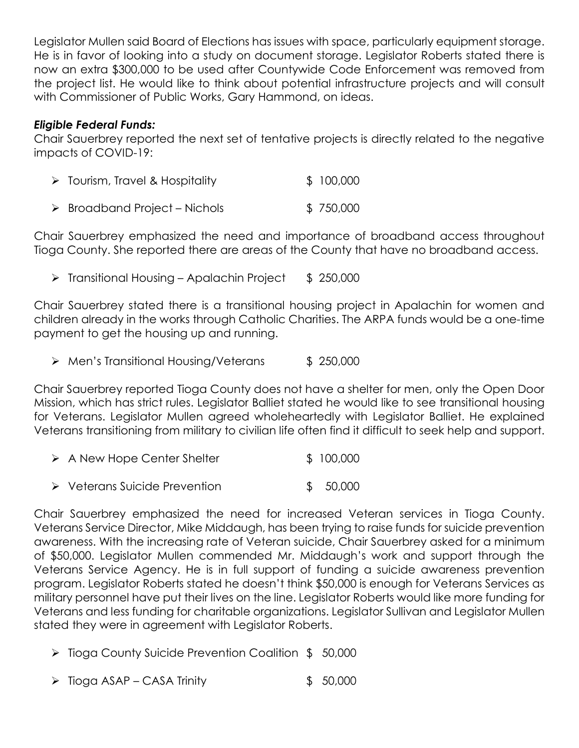Legislator Mullen said Board of Elections has issues with space, particularly equipment storage. He is in favor of looking into a study on document storage. Legislator Roberts stated there is now an extra \$300,000 to be used after Countywide Code Enforcement was removed from the project list. He would like to think about potential infrastructure projects and will consult with Commissioner of Public Works, Gary Hammond, on ideas.

#### *Eligible Federal Funds:*

Chair Sauerbrey reported the next set of tentative projects is directly related to the negative impacts of COVID-19:

| \$100,000<br>$\triangleright$ Tourism, Travel & Hospitality |
|-------------------------------------------------------------|
|-------------------------------------------------------------|

▶ Broadband Project – Nichols \$750,000

Chair Sauerbrey emphasized the need and importance of broadband access throughout Tioga County. She reported there are areas of the County that have no broadband access.

 $\triangleright$  Transitional Housing – Apalachin Project  $\uparrow$  \$ 250,000

Chair Sauerbrey stated there is a transitional housing project in Apalachin for women and children already in the works through Catholic Charities. The ARPA funds would be a one-time payment to get the housing up and running.

Men's Transitional Housing/Veterans \$ 250,000

Chair Sauerbrey reported Tioga County does not have a shelter for men, only the Open Door Mission, which has strict rules. Legislator Balliet stated he would like to see transitional housing for Veterans. Legislator Mullen agreed wholeheartedly with Legislator Balliet. He explained Veterans transitioning from military to civilian life often find it difficult to seek help and support.

| $\triangleright$ A New Hope Center Shelter | \$100,000 |
|--------------------------------------------|-----------|
|                                            |           |

▶ Veterans Suicide Prevention \$ 50,000

Chair Sauerbrey emphasized the need for increased Veteran services in Tioga County. Veterans Service Director, Mike Middaugh, has been trying to raise funds for suicide prevention awareness. With the increasing rate of Veteran suicide, Chair Sauerbrey asked for a minimum of \$50,000. Legislator Mullen commended Mr. Middaugh's work and support through the Veterans Service Agency. He is in full support of funding a suicide awareness prevention program. Legislator Roberts stated he doesn't think \$50,000 is enough for Veterans Services as military personnel have put their lives on the line. Legislator Roberts would like more funding for Veterans and less funding for charitable organizations. Legislator Sullivan and Legislator Mullen stated they were in agreement with Legislator Roberts.

- ▶ Tioga County Suicide Prevention Coalition \$ 50,000
- $\triangleright$  Tioga ASAP CASA Trinity  $\uparrow$  50,000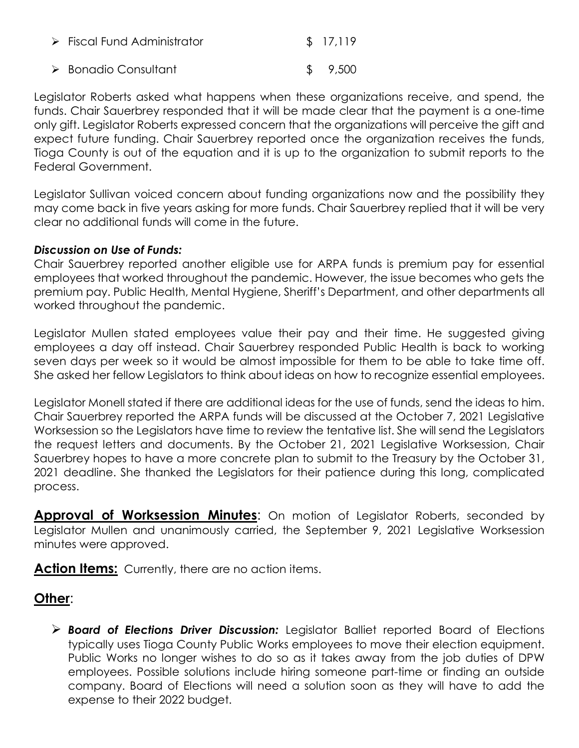| $\triangleright$ Fiscal Fund Administrator | \$17,119 |
|--------------------------------------------|----------|
| $\triangleright$ Bonadio Consultant        | \$9,500  |

Legislator Roberts asked what happens when these organizations receive, and spend, the funds. Chair Sauerbrey responded that it will be made clear that the payment is a one-time only gift. Legislator Roberts expressed concern that the organizations will perceive the gift and expect future funding. Chair Sauerbrey reported once the organization receives the funds, Tioga County is out of the equation and it is up to the organization to submit reports to the Federal Government.

Legislator Sullivan voiced concern about funding organizations now and the possibility they may come back in five years asking for more funds. Chair Sauerbrey replied that it will be very clear no additional funds will come in the future.

#### *Discussion on Use of Funds:*

Chair Sauerbrey reported another eligible use for ARPA funds is premium pay for essential employees that worked throughout the pandemic. However, the issue becomes who gets the premium pay. Public Health, Mental Hygiene, Sheriff's Department, and other departments all worked throughout the pandemic.

Legislator Mullen stated employees value their pay and their time. He suggested giving employees a day off instead. Chair Sauerbrey responded Public Health is back to working seven days per week so it would be almost impossible for them to be able to take time off. She asked her fellow Legislators to think about ideas on how to recognize essential employees.

Legislator Monell stated if there are additional ideas for the use of funds, send the ideas to him. Chair Sauerbrey reported the ARPA funds will be discussed at the October 7, 2021 Legislative Worksession so the Legislators have time to review the tentative list. She will send the Legislators the request letters and documents. By the October 21, 2021 Legislative Worksession, Chair Sauerbrey hopes to have a more concrete plan to submit to the Treasury by the October 31, 2021 deadline. She thanked the Legislators for their patience during this long, complicated process.

**Approval of Worksession Minutes:** On motion of Legislator Roberts, seconded by Legislator Mullen and unanimously carried, the September 9, 2021 Legislative Worksession minutes were approved.

Action Items: Currently, there are no action items.

# **Other**:

 *Board of Elections Driver Discussion:* Legislator Balliet reported Board of Elections typically uses Tioga County Public Works employees to move their election equipment. Public Works no longer wishes to do so as it takes away from the job duties of DPW employees. Possible solutions include hiring someone part-time or finding an outside company. Board of Elections will need a solution soon as they will have to add the expense to their 2022 budget.